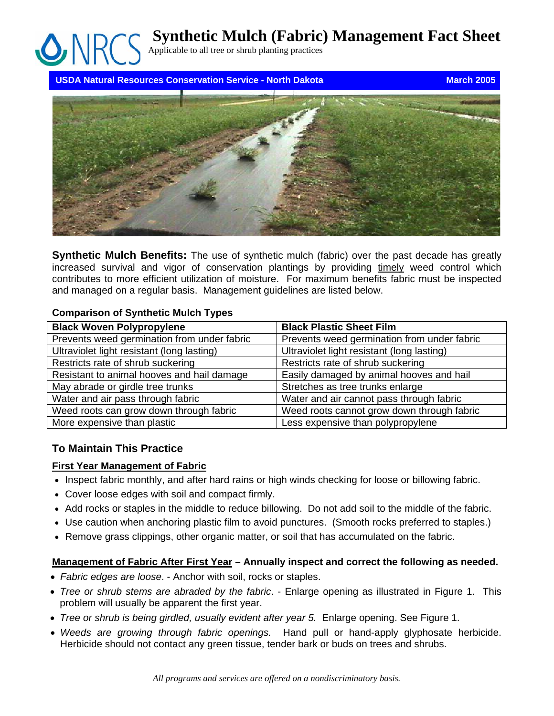**Synthetic Mulch (Fabric) Management Fact Sheet**

Applicable to all tree or shrub planting practices

**USDA Natural Resources Conservation Service - North Dakota March 2005** March 2005



**Synthetic Mulch Benefits:** The use of synthetic mulch (fabric) over the past decade has greatly increased survival and vigor of conservation plantings by providing timely weed control which contributes to more efficient utilization of moisture. For maximum benefits fabric must be inspected and managed on a regular basis. Management guidelines are listed below.

### **Comparison of Synthetic Mulch Types**

| <b>Black Woven Polypropylene</b>            | <b>Black Plastic Sheet Film</b>             |
|---------------------------------------------|---------------------------------------------|
| Prevents weed germination from under fabric | Prevents weed germination from under fabric |
| Ultraviolet light resistant (long lasting)  | Ultraviolet light resistant (long lasting)  |
| Restricts rate of shrub suckering           | Restricts rate of shrub suckering           |
| Resistant to animal hooves and hail damage  | Easily damaged by animal hooves and hail    |
| May abrade or girdle tree trunks            | Stretches as tree trunks enlarge            |
| Water and air pass through fabric           | Water and air cannot pass through fabric    |
| Weed roots can grow down through fabric     | Weed roots cannot grow down through fabric  |
| More expensive than plastic                 | Less expensive than polypropylene           |

# **To Maintain This Practice**

# **First Year Management of Fabric**

- Inspect fabric monthly, and after hard rains or high winds checking for loose or billowing fabric.
- Cover loose edges with soil and compact firmly.
- Add rocks or staples in the middle to reduce billowing. Do not add soil to the middle of the fabric.
- Use caution when anchoring plastic film to avoid punctures. (Smooth rocks preferred to staples.)
- Remove grass clippings, other organic matter, or soil that has accumulated on the fabric.

# **Management of Fabric After First Year – Annually inspect and correct the following as needed.**

- *Fabric edges are loose*. Anchor with soil, rocks or staples.
- *Tree or shrub stems are abraded by the fabric*. Enlarge opening as illustrated in Figure 1. This problem will usually be apparent the first year.
- *Tree or shrub is being girdled, usually evident after year 5.* Enlarge opening. See Figure 1.
- *Weeds are growing through fabric openings.* Hand pull or hand-apply glyphosate herbicide. Herbicide should not contact any green tissue, tender bark or buds on trees and shrubs.